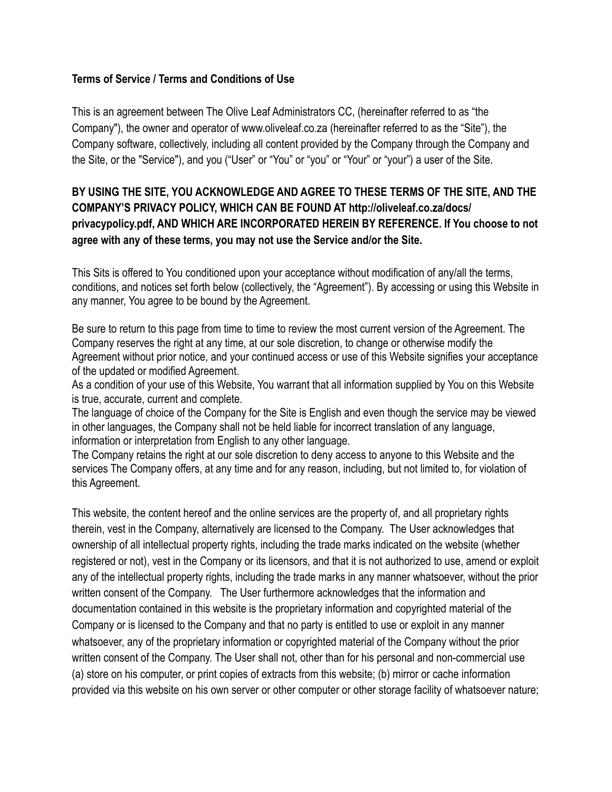## **Terms of Service / Terms and Conditions of Use**

This is an agreement between The Olive Leaf Administrators CC, (hereinafter referred to as "the Company"), the owner and operator of www.oliveleaf.co.za (hereinafter referred to as the "Site"), the Company software, collectively, including all content provided by the Company through the Company and the Site, or the "Service"), and you ("User" or "You" or "you" or "Your" or "your") a user of the Site.

## **BY USING THE SITE, YOU ACKNOWLEDGE AND AGREE TO THESE TERMS OF THE SITE, AND THE COMPANY'S PRIVACY POLICY, WHICH CAN BE FOUND AT http://oliveleaf.co.za/docs/ privacypolicy.pdf, AND WHICH ARE INCORPORATED HEREIN BY REFERENCE. If You choose to not agree with any of these terms, you may not use the Service and/or the Site.**

This Sits is offered to You conditioned upon your acceptance without modification of any/all the terms, conditions, and notices set forth below (collectively, the "Agreement"). By accessing or using this Website in any manner, You agree to be bound by the Agreement.

Be sure to return to this page from time to time to review the most current version of the Agreement. The Company reserves the right at any time, at our sole discretion, to change or otherwise modify the Agreement without prior notice, and your continued access or use of this Website signifies your acceptance of the updated or modified Agreement.

As a condition of your use of this Website, You warrant that all information supplied by You on this Website is true, accurate, current and complete.

The language of choice of the Company for the Site is English and even though the service may be viewed in other languages, the Company shall not be held liable for incorrect translation of any language, information or interpretation from English to any other language.

The Company retains the right at our sole discretion to deny access to anyone to this Website and the services The Company offers, at any time and for any reason, including, but not limited to, for violation of this Agreement.

This website, the content hereof and the online services are the property of, and all proprietary rights therein, vest in the Company, alternatively are licensed to the Company. The User acknowledges that ownership of all intellectual property rights, including the trade marks indicated on the website (whether registered or not), vest in the Company or its licensors, and that it is not authorized to use, amend or exploit any of the intellectual property rights, including the trade marks in any manner whatsoever, without the prior written consent of the Company. The User furthermore acknowledges that the information and documentation contained in this website is the proprietary information and copyrighted material of the Company or is licensed to the Company and that no party is entitled to use or exploit in any manner whatsoever, any of the proprietary information or copyrighted material of the Company without the prior written consent of the Company. The User shall not, other than for his personal and non-commercial use (a) store on his computer, or print copies of extracts from this website; (b) mirror or cache information provided via this website on his own server or other computer or other storage facility of whatsoever nature;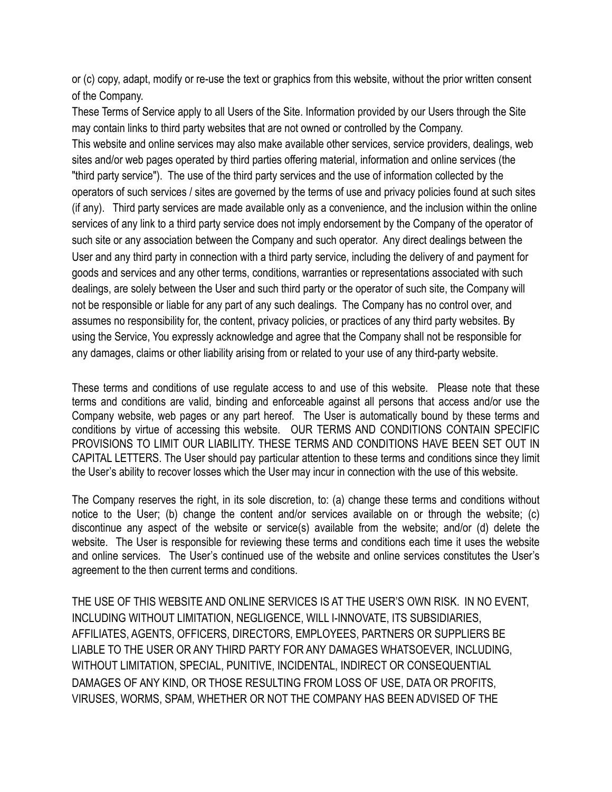or (c) copy, adapt, modify or re-use the text or graphics from this website, without the prior written consent of the Company.

These Terms of Service apply to all Users of the Site. Information provided by our Users through the Site may contain links to third party websites that are not owned or controlled by the Company. This website and online services may also make available other services, service providers, dealings, web sites and/or web pages operated by third parties offering material, information and online services (the "third party service"). The use of the third party services and the use of information collected by the operators of such services / sites are governed by the terms of use and privacy policies found at such sites (if any). Third party services are made available only as a convenience, and the inclusion within the online services of any link to a third party service does not imply endorsement by the Company of the operator of such site or any association between the Company and such operator. Any direct dealings between the User and any third party in connection with a third party service, including the delivery of and payment for goods and services and any other terms, conditions, warranties or representations associated with such dealings, are solely between the User and such third party or the operator of such site, the Company will

not be responsible or liable for any part of any such dealings. The Company has no control over, and assumes no responsibility for, the content, privacy policies, or practices of any third party websites. By using the Service, You expressly acknowledge and agree that the Company shall not be responsible for any damages, claims or other liability arising from or related to your use of any third-party website.

These terms and conditions of use regulate access to and use of this website. Please note that these terms and conditions are valid, binding and enforceable against all persons that access and/or use the Company website, web pages or any part hereof. The User is automatically bound by these terms and conditions by virtue of accessing this website. OUR TERMS AND CONDITIONS CONTAIN SPECIFIC PROVISIONS TO LIMIT OUR LIABILITY. THESE TERMS AND CONDITIONS HAVE BEEN SET OUT IN CAPITAL LETTERS. The User should pay particular attention to these terms and conditions since they limit the User's ability to recover losses which the User may incur in connection with the use of this website.

The Company reserves the right, in its sole discretion, to: (a) change these terms and conditions without notice to the User; (b) change the content and/or services available on or through the website; (c) discontinue any aspect of the website or service(s) available from the website; and/or (d) delete the website. The User is responsible for reviewing these terms and conditions each time it uses the website and online services. The User's continued use of the website and online services constitutes the User's agreement to the then current terms and conditions.

THE USE OF THIS WEBSITE AND ONLINE SERVICES IS AT THE USER'S OWN RISK. IN NO EVENT, INCLUDING WITHOUT LIMITATION, NEGLIGENCE, WILL I-INNOVATE, ITS SUBSIDIARIES, AFFILIATES, AGENTS, OFFICERS, DIRECTORS, EMPLOYEES, PARTNERS OR SUPPLIERS BE LIABLE TO THE USER OR ANY THIRD PARTY FOR ANY DAMAGES WHATSOEVER, INCLUDING, WITHOUT LIMITATION, SPECIAL, PUNITIVE, INCIDENTAL, INDIRECT OR CONSEQUENTIAL DAMAGES OF ANY KIND, OR THOSE RESULTING FROM LOSS OF USE, DATA OR PROFITS, VIRUSES, WORMS, SPAM, WHETHER OR NOT THE COMPANY HAS BEEN ADVISED OF THE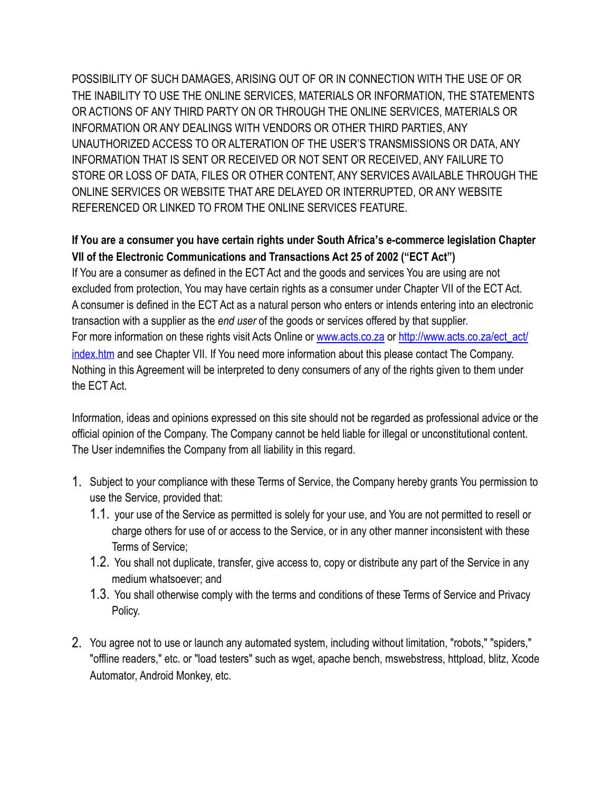POSSIBILITY OF SUCH DAMAGES, ARISING OUT OF OR IN CONNECTION WITH THE USE OF OR THE INABILITY TO USE THE ONLINE SERVICES, MATERIALS OR INFORMATION, THE STATEMENTS OR ACTIONS OF ANY THIRD PARTY ON OR THROUGH THE ONLINE SERVICES, MATERIALS OR INFORMATION OR ANY DEALINGS WITH VENDORS OR OTHER THIRD PARTIES, ANY UNAUTHORIZED ACCESS TO OR ALTERATION OF THE USER'S TRANSMISSIONS OR DATA, ANY INFORMATION THAT IS SENT OR RECEIVED OR NOT SENT OR RECEIVED, ANY FAILURE TO STORE OR LOSS OF DATA, FILES OR OTHER CONTENT, ANY SERVICES AVAILABLE THROUGH THE ONLINE SERVICES OR WEBSITE THAT ARE DELAYED OR INTERRUPTED, OR ANY WEBSITE REFERENCED OR LINKED TO FROM THE ONLINE SERVICES FEATURE.

## **If You are a consumer you have certain rights under South Africa's e-commerce legislation Chapter VII of the Electronic Communications and Transactions Act 25 of 2002 ("ECT Act")**

If You are a consumer as defined in the ECT Act and the goods and services You are using are not excluded from protection, You may have certain rights as a consumer under Chapter VII of the ECT Act. A consumer is defined in the ECT Act as a natural person who enters or intends entering into an electronic transaction with a supplier as the *end user* of the goods or services offered by that supplier. [For more information on these rights visit Acts Online or](http://www.acts.co.za/ect_act/index.htm) [www.acts.co.za](http://www.acts.co.za) [or http://www.acts.co.za/ect\\_act/](http://www.acts.co.za/ect_act/index.htm) index.htm and see Chapter VII. If You need more information about this please contact The Company. Nothing in this Agreement will be interpreted to deny consumers of any of the rights given to them under the ECT Act.

Information, ideas and opinions expressed on this site should not be regarded as professional advice or the official opinion of the Company. The Company cannot be held liable for illegal or unconstitutional content. The User indemnifies the Company from all liability in this regard.

- 1. Subject to your compliance with these Terms of Service, the Company hereby grants You permission to use the Service, provided that:
	- 1.1. your use of the Service as permitted is solely for your use, and You are not permitted to resell or charge others for use of or access to the Service, or in any other manner inconsistent with these Terms of Service;
	- 1.2. You shall not duplicate, transfer, give access to, copy or distribute any part of the Service in any medium whatsoever; and
	- 1.3. You shall otherwise comply with the terms and conditions of these Terms of Service and Privacy Policy.
- 2. You agree not to use or launch any automated system, including without limitation, "robots," "spiders," "offline readers," etc. or "load testers" such as wget, apache bench, mswebstress, httpload, blitz, Xcode Automator, Android Monkey, etc.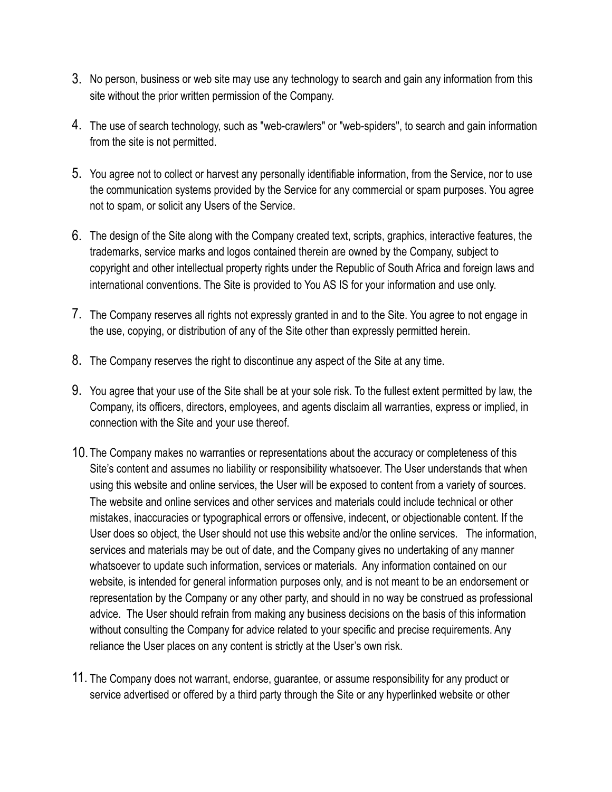- 3. No person, business or web site may use any technology to search and gain any information from this site without the prior written permission of the Company.
- 4. The use of search technology, such as "web-crawlers" or "web-spiders", to search and gain information from the site is not permitted.
- 5. You agree not to collect or harvest any personally identifiable information, from the Service, nor to use the communication systems provided by the Service for any commercial or spam purposes. You agree not to spam, or solicit any Users of the Service.
- 6. The design of the Site along with the Company created text, scripts, graphics, interactive features, the trademarks, service marks and logos contained therein are owned by the Company, subject to copyright and other intellectual property rights under the Republic of South Africa and foreign laws and international conventions. The Site is provided to You AS IS for your information and use only.
- 7. The Company reserves all rights not expressly granted in and to the Site. You agree to not engage in the use, copying, or distribution of any of the Site other than expressly permitted herein.
- 8. The Company reserves the right to discontinue any aspect of the Site at any time.
- 9. You agree that your use of the Site shall be at your sole risk. To the fullest extent permitted by law, the Company, its officers, directors, employees, and agents disclaim all warranties, express or implied, in connection with the Site and your use thereof.
- 10. The Company makes no warranties or representations about the accuracy or completeness of this Site's content and assumes no liability or responsibility whatsoever. The User understands that when using this website and online services, the User will be exposed to content from a variety of sources. The website and online services and other services and materials could include technical or other mistakes, inaccuracies or typographical errors or offensive, indecent, or objectionable content. If the User does so object, the User should not use this website and/or the online services. The information, services and materials may be out of date, and the Company gives no undertaking of any manner whatsoever to update such information, services or materials. Any information contained on our website, is intended for general information purposes only, and is not meant to be an endorsement or representation by the Company or any other party, and should in no way be construed as professional advice. The User should refrain from making any business decisions on the basis of this information without consulting the Company for advice related to your specific and precise requirements. Any reliance the User places on any content is strictly at the User's own risk.
- 11. The Company does not warrant, endorse, guarantee, or assume responsibility for any product or service advertised or offered by a third party through the Site or any hyperlinked website or other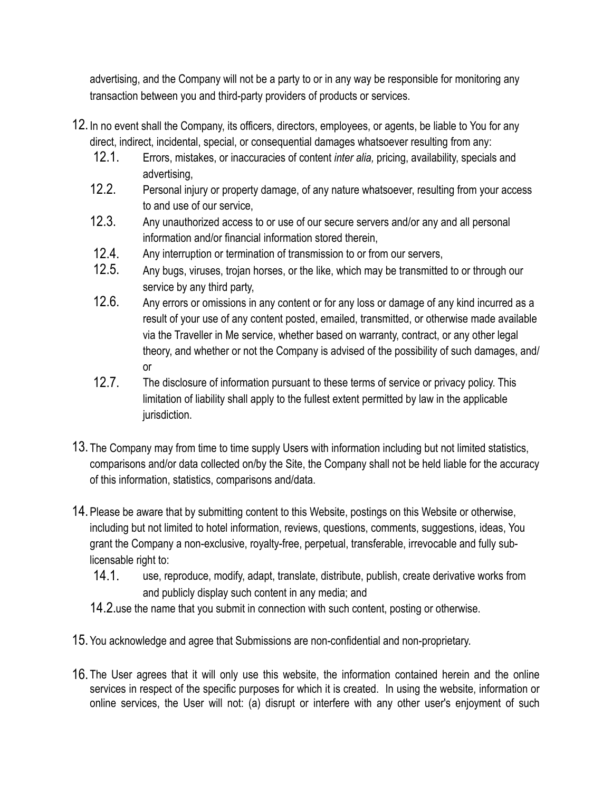advertising, and the Company will not be a party to or in any way be responsible for monitoring any transaction between you and third-party providers of products or services.

- 12.In no event shall the Company, its officers, directors, employees, or agents, be liable to You for any direct, indirect, incidental, special, or consequential damages whatsoever resulting from any:
	- 12.1. Errors, mistakes, or inaccuracies of content *inter alia,* pricing, availability, specials and advertising,
	- 12.2. Personal injury or property damage, of any nature whatsoever, resulting from your access to and use of our service,
	- 12.3. Any unauthorized access to or use of our secure servers and/or any and all personal information and/or financial information stored therein,
	- 12.4. Any interruption or termination of transmission to or from our servers,
	- 12.5. Any bugs, viruses, trojan horses, or the like, which may be transmitted to or through our service by any third party,
	- 12.6. Any errors or omissions in any content or for any loss or damage of any kind incurred as a result of your use of any content posted, emailed, transmitted, or otherwise made available via the Traveller in Me service, whether based on warranty, contract, or any other legal theory, and whether or not the Company is advised of the possibility of such damages, and/ or
	- 12.7. The disclosure of information pursuant to these terms of service or privacy policy. This limitation of liability shall apply to the fullest extent permitted by law in the applicable jurisdiction.
- 13. The Company may from time to time supply Users with information including but not limited statistics, comparisons and/or data collected on/by the Site, the Company shall not be held liable for the accuracy of this information, statistics, comparisons and/data.
- 14.Please be aware that by submitting content to this Website, postings on this Website or otherwise, including but not limited to hotel information, reviews, questions, comments, suggestions, ideas, You grant the Company a non-exclusive, royalty-free, perpetual, transferable, irrevocable and fully sublicensable right to:
	- 14.1. use, reproduce, modify, adapt, translate, distribute, publish, create derivative works from and publicly display such content in any media; and

14.2.use the name that you submit in connection with such content, posting or otherwise.

- 15.You acknowledge and agree that Submissions are non-confidential and non-proprietary.
- 16. The User agrees that it will only use this website, the information contained herein and the online services in respect of the specific purposes for which it is created. In using the website, information or online services, the User will not: (a) disrupt or interfere with any other user's enjoyment of such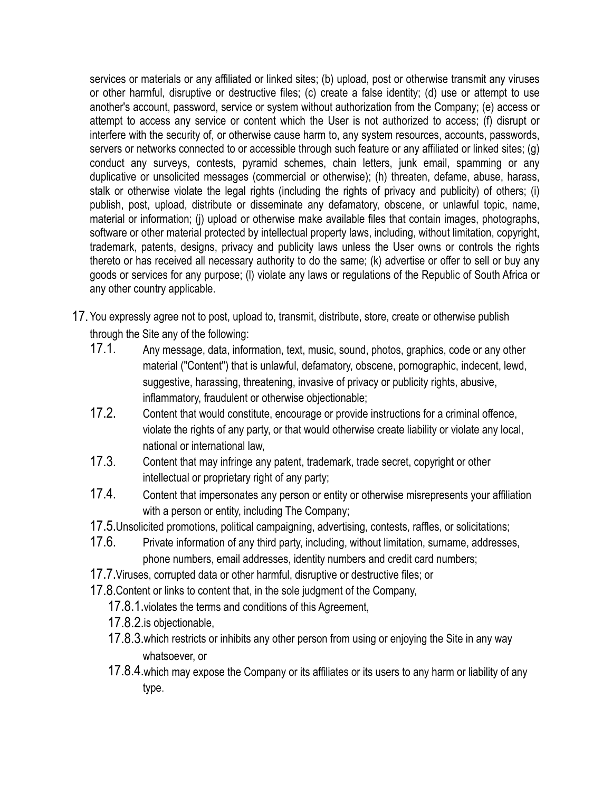services or materials or any affiliated or linked sites; (b) upload, post or otherwise transmit any viruses or other harmful, disruptive or destructive files; (c) create a false identity; (d) use or attempt to use another's account, password, service or system without authorization from the Company; (e) access or attempt to access any service or content which the User is not authorized to access; (f) disrupt or interfere with the security of, or otherwise cause harm to, any system resources, accounts, passwords, servers or networks connected to or accessible through such feature or any affiliated or linked sites; (g) conduct any surveys, contests, pyramid schemes, chain letters, junk email, spamming or any duplicative or unsolicited messages (commercial or otherwise); (h) threaten, defame, abuse, harass, stalk or otherwise violate the legal rights (including the rights of privacy and publicity) of others; (i) publish, post, upload, distribute or disseminate any defamatory, obscene, or unlawful topic, name, material or information; (j) upload or otherwise make available files that contain images, photographs, software or other material protected by intellectual property laws, including, without limitation, copyright, trademark, patents, designs, privacy and publicity laws unless the User owns or controls the rights thereto or has received all necessary authority to do the same; (k) advertise or offer to sell or buy any goods or services for any purpose; (l) violate any laws or regulations of the Republic of South Africa or any other country applicable.

- 17.You expressly agree not to post, upload to, transmit, distribute, store, create or otherwise publish through the Site any of the following:
	- 17.1. Any message, data, information, text, music, sound, photos, graphics, code or any other material ("Content") that is unlawful, defamatory, obscene, pornographic, indecent, lewd, suggestive, harassing, threatening, invasive of privacy or publicity rights, abusive, inflammatory, fraudulent or otherwise objectionable;
	- 17.2. Content that would constitute, encourage or provide instructions for a criminal offence, violate the rights of any party, or that would otherwise create liability or violate any local, national or international law,
	- 17.3. Content that may infringe any patent, trademark, trade secret, copyright or other intellectual or proprietary right of any party;
	- 17.4. Content that impersonates any person or entity or otherwise misrepresents your affiliation with a person or entity, including The Company;
	- 17.5.Unsolicited promotions, political campaigning, advertising, contests, raffles, or solicitations;
	- 17.6. Private information of any third party, including, without limitation, surname, addresses, phone numbers, email addresses, identity numbers and credit card numbers;
	- 17.7.Viruses, corrupted data or other harmful, disruptive or destructive files; or
	- 17.8.Content or links to content that, in the sole judgment of the Company,
		- 17.8.1.violates the terms and conditions of this Agreement,
		- 17.8.2.is objectionable,
		- 17.8.3.which restricts or inhibits any other person from using or enjoying the Site in any way whatsoever, or
		- 17.8.4.which may expose the Company or its affiliates or its users to any harm or liability of any type.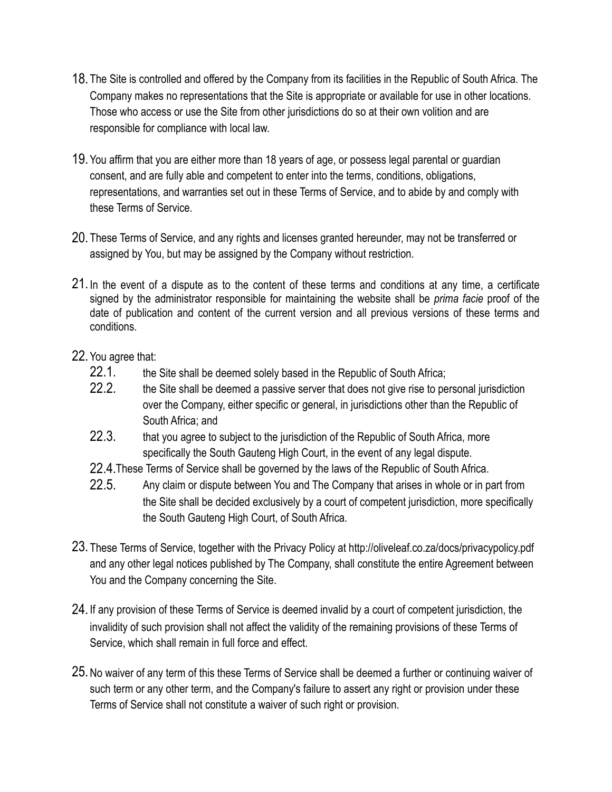- 18. The Site is controlled and offered by the Company from its facilities in the Republic of South Africa. The Company makes no representations that the Site is appropriate or available for use in other locations. Those who access or use the Site from other jurisdictions do so at their own volition and are responsible for compliance with local law.
- 19.You affirm that you are either more than 18 years of age, or possess legal parental or guardian consent, and are fully able and competent to enter into the terms, conditions, obligations, representations, and warranties set out in these Terms of Service, and to abide by and comply with these Terms of Service.
- 20. These Terms of Service, and any rights and licenses granted hereunder, may not be transferred or assigned by You, but may be assigned by the Company without restriction.
- 21.In the event of a dispute as to the content of these terms and conditions at any time, a certificate signed by the administrator responsible for maintaining the website shall be *prima facie* proof of the date of publication and content of the current version and all previous versions of these terms and conditions.
- 22.You agree that:
	- 22.1. the Site shall be deemed solely based in the Republic of South Africa;
	- 22.2. the Site shall be deemed a passive server that does not give rise to personal jurisdiction over the Company, either specific or general, in jurisdictions other than the Republic of South Africa; and
	- 22.3. that you agree to subject to the jurisdiction of the Republic of South Africa, more specifically the South Gauteng High Court, in the event of any legal dispute.
	- 22.4.These Terms of Service shall be governed by the laws of the Republic of South Africa.
	- 22.5. Any claim or dispute between You and The Company that arises in whole or in part from the Site shall be decided exclusively by a court of competent jurisdiction, more specifically the South Gauteng High Court, of South Africa.
- 23. These Terms of Service, together with the Privacy Policy at http://oliveleaf.co.za/docs/privacypolicy.pdf and any other legal notices published by The Company, shall constitute the entire Agreement between You and the Company concerning the Site.
- 24.If any provision of these Terms of Service is deemed invalid by a court of competent jurisdiction, the invalidity of such provision shall not affect the validity of the remaining provisions of these Terms of Service, which shall remain in full force and effect.
- 25.No waiver of any term of this these Terms of Service shall be deemed a further or continuing waiver of such term or any other term, and the Company's failure to assert any right or provision under these Terms of Service shall not constitute a waiver of such right or provision.